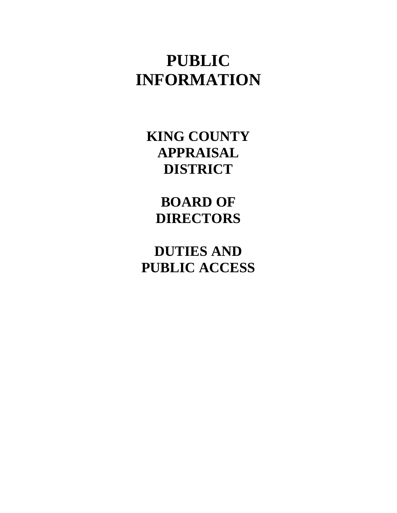# **PUBLIC INFORMATION**

**KING COUNTY APPRAISAL DISTRICT** 

**BOARD OF DIRECTORS** 

**DUTIES AND PUBLIC ACCESS**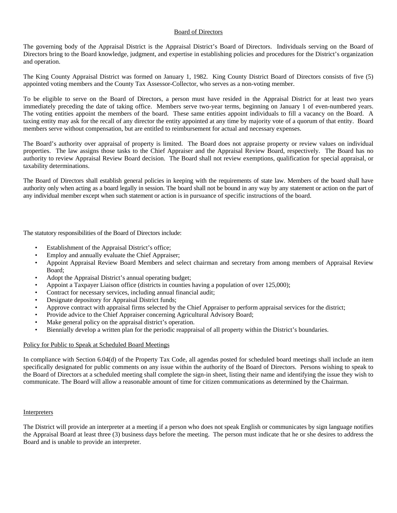## Board of Directors

The governing body of the Appraisal District is the Appraisal District's Board of Directors. Individuals serving on the Board of Directors bring to the Board knowledge, judgment, and expertise in establishing policies and procedures for the District's organization and operation.

The King County Appraisal District was formed on January 1, 1982. King County District Board of Directors consists of five (5) appointed voting members and the County Tax Assessor-Collector, who serves as a non-voting member.

To be eligible to serve on the Board of Directors, a person must have resided in the Appraisal District for at least two years immediately preceding the date of taking office. Members serve two-year terms, beginning on January 1 of even-numbered years. The voting entities appoint the members of the board. These same entities appoint individuals to fill a vacancy on the Board. A taxing entity may ask for the recall of any director the entity appointed at any time by majority vote of a quorum of that entity. Board members serve without compensation, but are entitled to reimbursement for actual and necessary expenses.

The Board's authority over appraisal of property is limited. The Board does not appraise property or review values on individual properties. The law assigns those tasks to the Chief Appraiser and the Appraisal Review Board, respectively. The Board has no authority to review Appraisal Review Board decision. The Board shall not review exemptions, qualification for special appraisal, or taxability determinations.

The Board of Directors shall establish general policies in keeping with the requirements of state law. Members of the board shall have authority only when acting as a board legally in session. The board shall not be bound in any way by any statement or action on the part of any individual member except when such statement or action is in pursuance of specific instructions of the board.

The statutory responsibilities of the Board of Directors include:

- Establishment of the Appraisal District's office;
- Employ and annually evaluate the Chief Appraiser;
- Appoint Appraisal Review Board Members and select chairman and secretary from among members of Appraisal Review Board;
- Adopt the Appraisal District's annual operating budget;
- Appoint a Taxpayer Liaison office (districts in counties having a population of over 125,000);
- Contract for necessary services, including annual financial audit;
- Designate depository for Appraisal District funds;
- Approve contract with appraisal firms selected by the Chief Appraiser to perform appraisal services for the district;
- Provide advice to the Chief Appraiser concerning Agricultural Advisory Board;
- Make general policy on the appraisal district's operation.
- Biennially develop a written plan for the periodic reappraisal of all property within the District's boundaries.

#### Policy for Public to Speak at Scheduled Board Meetings

In compliance with Section 6.04(d) of the Property Tax Code, all agendas posted for scheduled board meetings shall include an item specifically designated for public comments on any issue within the authority of the Board of Directors. Persons wishing to speak to the Board of Directors at a scheduled meeting shall complete the sign-in sheet, listing their name and identifying the issue they wish to communicate. The Board will allow a reasonable amount of time for citizen communications as determined by the Chairman.

#### Interpreters

The District will provide an interpreter at a meeting if a person who does not speak English or communicates by sign language notifies the Appraisal Board at least three (3) business days before the meeting. The person must indicate that he or she desires to address the Board and is unable to provide an interpreter.